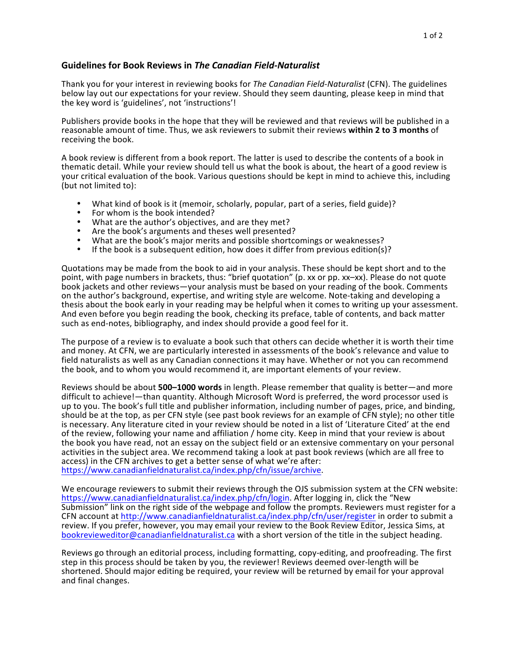## Guidelines for Book Reviews in *The Canadian Field-Naturalist*

Thank you for your interest in reviewing books for *The Canadian Field-Naturalist* (CFN). The guidelines below lay out our expectations for your review. Should they seem daunting, please keep in mind that the key word is 'guidelines', not 'instructions'!

Publishers provide books in the hope that they will be reviewed and that reviews will be published in a reasonable amount of time. Thus, we ask reviewers to submit their reviews within 2 to 3 months of receiving the book.

A book review is different from a book report. The latter is used to describe the contents of a book in thematic detail. While your review should tell us what the book is about, the heart of a good review is your critical evaluation of the book. Various questions should be kept in mind to achieve this, including  $(but not limited to):$ 

- What kind of book is it (memoir, scholarly, popular, part of a series, field guide)?
- 
- For whom is the book intended?<br>• What are the author's objectives, and are they met?
- Are the book's arguments and theses well presented?
- What are the book's major merits and possible shortcomings or weaknesses?
- If the book is a subsequent edition, how does it differ from previous edition(s)?

Quotations may be made from the book to aid in your analysis. These should be kept short and to the point, with page numbers in brackets, thus: "brief quotation" (p. xx or pp. xx–xx). Please do not quote book jackets and other reviews—your analysis must be based on your reading of the book. Comments on the author's background, expertise, and writing style are welcome. Note-taking and developing a thesis about the book early in your reading may be helpful when it comes to writing up your assessment. And even before you begin reading the book, checking its preface, table of contents, and back matter such as end-notes, bibliography, and index should provide a good feel for it.

The purpose of a review is to evaluate a book such that others can decide whether it is worth their time and money. At CFN, we are particularly interested in assessments of the book's relevance and value to field naturalists as well as any Canadian connections it may have. Whether or not you can recommend the book, and to whom you would recommend it, are important elements of your review.

Reviews should be about **500–1000 words** in length. Please remember that quality is better—and more difficult to achieve!—than quantity. Although Microsoft Word is preferred, the word processor used is up to you. The book's full title and publisher information, including number of pages, price, and binding, should be at the top, as per CFN style (see past book reviews for an example of CFN style); no other title is necessary. Any literature cited in your review should be noted in a list of 'Literature Cited' at the end of the review, following your name and affiliation / home city. Keep in mind that your review is about the book you have read, not an essay on the subject field or an extensive commentary on your personal activities in the subject area. We recommend taking a look at past book reviews (which are all free to access) in the CFN archives to get a better sense of what we're after: https://www.canadianfieldnaturalist.ca/index.php/cfn/issue/archive.

We encourage reviewers to submit their reviews through the OJS submission system at the CFN website: https://www.canadianfieldnaturalist.ca/index.php/cfn/login. After logging in, click the "New Submission" link on the right side of the webpage and follow the prompts. Reviewers must register for a CFN account at http://www.canadianfieldnaturalist.ca/index.php/cfn/user/register in order to submit a review. If you prefer, however, you may email your review to the Book Review Editor, Jessica Sims, at bookrevieweditor@canadianfieldnaturalist.ca with a short version of the title in the subject heading.

Reviews go through an editorial process, including formatting, copy-editing, and proofreading. The first step in this process should be taken by you, the reviewer! Reviews deemed over-length will be shortened. Should major editing be required, your review will be returned by email for your approval and final changes.